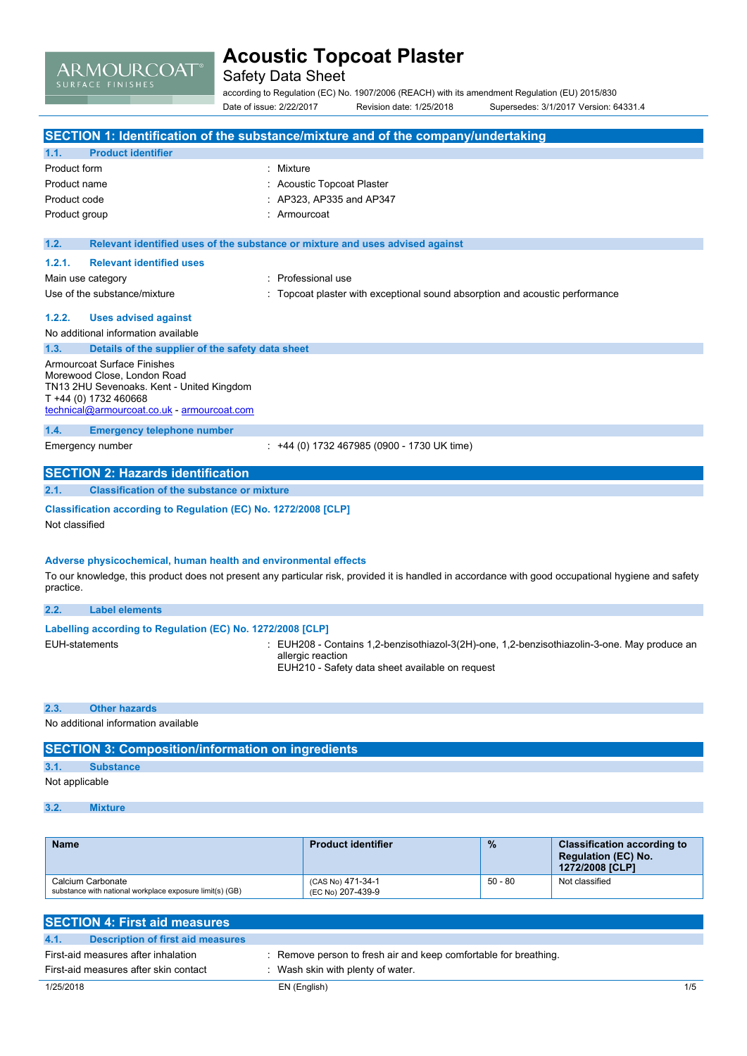# ARMOURCOAT®

## **Acoustic Topcoat Plaster**

Safety Data Sheet

according to Regulation (EC) No. 1907/2006 (REACH) with its amendment Regulation (EU) 2015/830 Date of issue: 2/22/2017 Revision date: 1/25/2018 Supersedes: 3/1/2017 Version: 64331.4

|                                                                          | SECTION 1: Identification of the substance/mixture and of the company/undertaking                                                                   |
|--------------------------------------------------------------------------|-----------------------------------------------------------------------------------------------------------------------------------------------------|
| <b>Product identifier</b><br>1.1.                                        |                                                                                                                                                     |
| Product form                                                             | : Mixture                                                                                                                                           |
| Product name                                                             | : Acoustic Topcoat Plaster                                                                                                                          |
| Product code                                                             | : AP323, AP335 and AP347                                                                                                                            |
| Product group                                                            | : Armourcoat                                                                                                                                        |
|                                                                          |                                                                                                                                                     |
| 1.2.                                                                     | Relevant identified uses of the substance or mixture and uses advised against                                                                       |
| 1.2.1.<br><b>Relevant identified uses</b>                                |                                                                                                                                                     |
| Main use category                                                        | : Professional use                                                                                                                                  |
| Use of the substance/mixture                                             | : Topcoat plaster with exceptional sound absorption and acoustic performance                                                                        |
| 1.2.2.<br><b>Uses advised against</b>                                    |                                                                                                                                                     |
| No additional information available                                      |                                                                                                                                                     |
| 1.3.<br>Details of the supplier of the safety data sheet                 |                                                                                                                                                     |
| Armourcoat Surface Finishes                                              |                                                                                                                                                     |
| Morewood Close, London Road<br>TN13 2HU Sevenoaks. Kent - United Kingdom |                                                                                                                                                     |
| T +44 (0) 1732 460668                                                    |                                                                                                                                                     |
| technical@armourcoat.co.uk - armourcoat.com                              |                                                                                                                                                     |
| 1.4.<br><b>Emergency telephone number</b>                                |                                                                                                                                                     |
| Emergency number                                                         | : +44 (0) 1732 467985 (0900 - 1730 UK time)                                                                                                         |
|                                                                          |                                                                                                                                                     |
| <b>SECTION 2: Hazards identification</b>                                 |                                                                                                                                                     |
| 2.1.<br><b>Classification of the substance or mixture</b>                |                                                                                                                                                     |
| Classification according to Regulation (EC) No. 1272/2008 [CLP]          |                                                                                                                                                     |
| Not classified                                                           |                                                                                                                                                     |
|                                                                          |                                                                                                                                                     |
| Adverse physicochemical, human health and environmental effects          |                                                                                                                                                     |
|                                                                          | To our knowledge, this product does not present any particular risk, provided it is handled in accordance with good occupational hygiene and safety |
| practice.                                                                |                                                                                                                                                     |
| 2.2.<br><b>Label elements</b>                                            |                                                                                                                                                     |
|                                                                          |                                                                                                                                                     |
| Labelling according to Regulation (EC) No. 1272/2008 [CLP]               |                                                                                                                                                     |
| <b>EUH-statements</b>                                                    | : EUH208 - Contains 1,2-benzisothiazol-3(2H)-one, 1,2-benzisothiazolin-3-one. May produce an                                                        |

allergic reaction EUH210 - Safety data sheet available on request

#### **2.3. Other hazards**

No additional information available

| <b>SECTION 3: Composition/information on ingredients</b> |                  |  |  |
|----------------------------------------------------------|------------------|--|--|
| 3.1.                                                     | <b>Substance</b> |  |  |
| Not applicable                                           |                  |  |  |

### **3.2. Mixture**

| <b>Name</b>                                                                   | <b>Product identifier</b>              | $\frac{9}{6}$ | <b>Classification according to</b><br><b>Regulation (EC) No.</b><br>1272/2008 [CLP] |
|-------------------------------------------------------------------------------|----------------------------------------|---------------|-------------------------------------------------------------------------------------|
| Calcium Carbonate<br>substance with national workplace exposure limit(s) (GB) | (CAS No) 471-34-1<br>(EC No) 207-439-9 | $50 - 80$     | Not classified                                                                      |

| <b>SECTION 4: First aid measures</b>      |                                                                  |     |
|-------------------------------------------|------------------------------------------------------------------|-----|
| 4.1.<br>Description of first aid measures |                                                                  |     |
| First-aid measures after inhalation       | : Remove person to fresh air and keep comfortable for breathing. |     |
| First-aid measures after skin contact     | Wash skin with plenty of water.                                  |     |
| 1/25/2018                                 | EN (English)                                                     | 1/5 |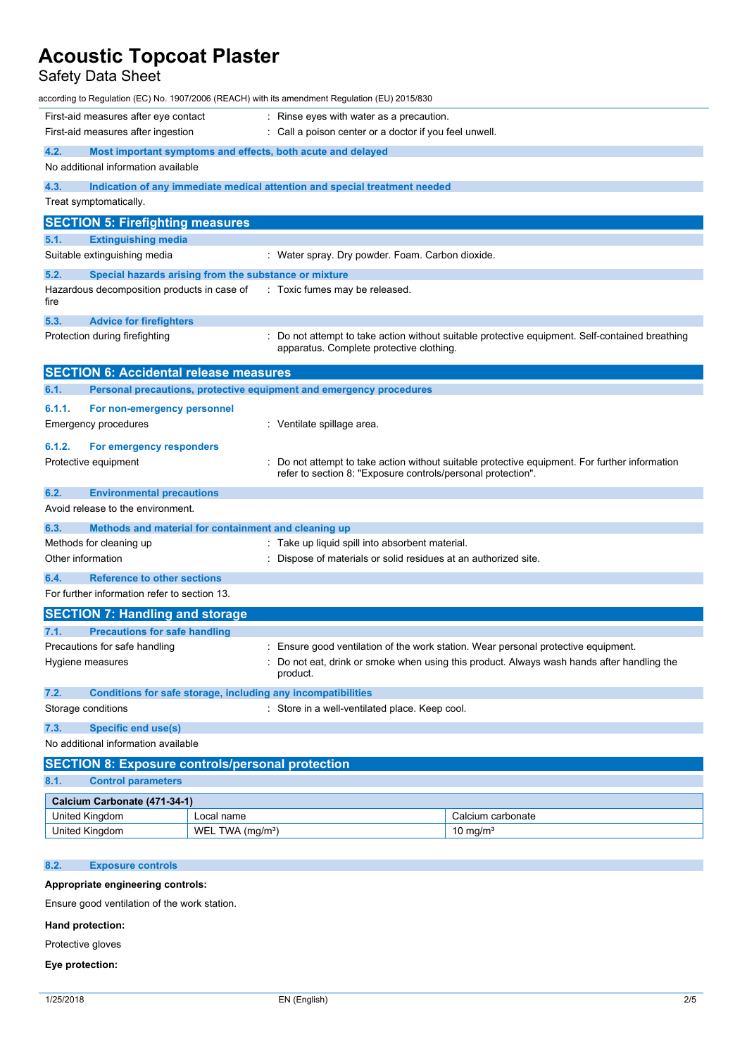### Safety Data Sheet

|                                                                                            | according to Regulation (EC) No. 1907/2006 (REACH) with its amendment Regulation (EU) 2015/830 |                                                                                                                                             |  |
|--------------------------------------------------------------------------------------------|------------------------------------------------------------------------------------------------|---------------------------------------------------------------------------------------------------------------------------------------------|--|
| First-aid measures after eye contact                                                       |                                                                                                | : Rinse eyes with water as a precaution.                                                                                                    |  |
| First-aid measures after ingestion                                                         |                                                                                                | : Call a poison center or a doctor if you feel unwell.                                                                                      |  |
| 4.2.                                                                                       | Most important symptoms and effects, both acute and delayed                                    |                                                                                                                                             |  |
| No additional information available                                                        |                                                                                                |                                                                                                                                             |  |
| 4.3.                                                                                       | Indication of any immediate medical attention and special treatment needed                     |                                                                                                                                             |  |
| Treat symptomatically.                                                                     |                                                                                                |                                                                                                                                             |  |
| <b>SECTION 5: Firefighting measures</b>                                                    |                                                                                                |                                                                                                                                             |  |
| 5.1.<br><b>Extinguishing media</b>                                                         |                                                                                                |                                                                                                                                             |  |
| Suitable extinguishing media                                                               |                                                                                                | : Water spray. Dry powder. Foam. Carbon dioxide.                                                                                            |  |
| 5.2.                                                                                       | Special hazards arising from the substance or mixture                                          |                                                                                                                                             |  |
| Hazardous decomposition products in case of<br>fire                                        |                                                                                                | : Toxic fumes may be released.                                                                                                              |  |
| 5.3.<br><b>Advice for firefighters</b>                                                     |                                                                                                |                                                                                                                                             |  |
| Protection during firefighting                                                             |                                                                                                | : Do not attempt to take action without suitable protective equipment. Self-contained breathing<br>apparatus. Complete protective clothing. |  |
| <b>SECTION 6: Accidental release measures</b>                                              |                                                                                                |                                                                                                                                             |  |
| 6.1.                                                                                       | Personal precautions, protective equipment and emergency procedures                            |                                                                                                                                             |  |
| 6.1.1.<br>For non-emergency personnel                                                      |                                                                                                |                                                                                                                                             |  |
| Emergency procedures                                                                       | : Ventilate spillage area.                                                                     |                                                                                                                                             |  |
| 6.1.2.<br>For emergency responders                                                         |                                                                                                |                                                                                                                                             |  |
| Protective equipment                                                                       |                                                                                                | Do not attempt to take action without suitable protective equipment. For further information                                                |  |
|                                                                                            |                                                                                                | refer to section 8: "Exposure controls/personal protection".                                                                                |  |
| 6.2.<br><b>Environmental precautions</b>                                                   |                                                                                                |                                                                                                                                             |  |
| Avoid release to the environment.                                                          |                                                                                                |                                                                                                                                             |  |
| 6.3.                                                                                       | Methods and material for containment and cleaning up                                           |                                                                                                                                             |  |
| Methods for cleaning up<br>Other information                                               |                                                                                                | : Take up liquid spill into absorbent material.<br>: Dispose of materials or solid residues at an authorized site.                          |  |
|                                                                                            |                                                                                                |                                                                                                                                             |  |
| 6.4.<br><b>Reference to other sections</b><br>For further information refer to section 13. |                                                                                                |                                                                                                                                             |  |
|                                                                                            |                                                                                                |                                                                                                                                             |  |
| <b>SECTION 7: Handling and storage</b><br>7.1.<br><b>Precautions for safe handling</b>     |                                                                                                |                                                                                                                                             |  |
| Precautions for safe handling                                                              |                                                                                                | Ensure good ventilation of the work station. Wear personal protective equipment.                                                            |  |
| Hygiene measures                                                                           | product.                                                                                       | Do not eat, drink or smoke when using this product. Always wash hands after handling the                                                    |  |
| 7.2.                                                                                       | Conditions for safe storage, including any incompatibilities                                   |                                                                                                                                             |  |
| Storage conditions                                                                         |                                                                                                | : Store in a well-ventilated place. Keep cool.                                                                                              |  |
| 7.3.<br><b>Specific end use(s)</b>                                                         |                                                                                                |                                                                                                                                             |  |
| No additional information available                                                        |                                                                                                |                                                                                                                                             |  |
|                                                                                            | <b>SECTION 8: Exposure controls/personal protection</b>                                        |                                                                                                                                             |  |
| <b>Control parameters</b><br>8.1.                                                          |                                                                                                |                                                                                                                                             |  |
| Calcium Carbonate (471-34-1)                                                               |                                                                                                |                                                                                                                                             |  |
| United Kingdom                                                                             | Local name                                                                                     | Calcium carbonate                                                                                                                           |  |
| United Kingdom                                                                             | WEL TWA (mg/m <sup>3</sup> )                                                                   | 10 mg/m <sup>3</sup>                                                                                                                        |  |

### **8.2. Exposure controls**

### **Appropriate engineering controls:**

Ensure good ventilation of the work station.

### **Hand protection:**

Protective gloves

#### **Eye protection:**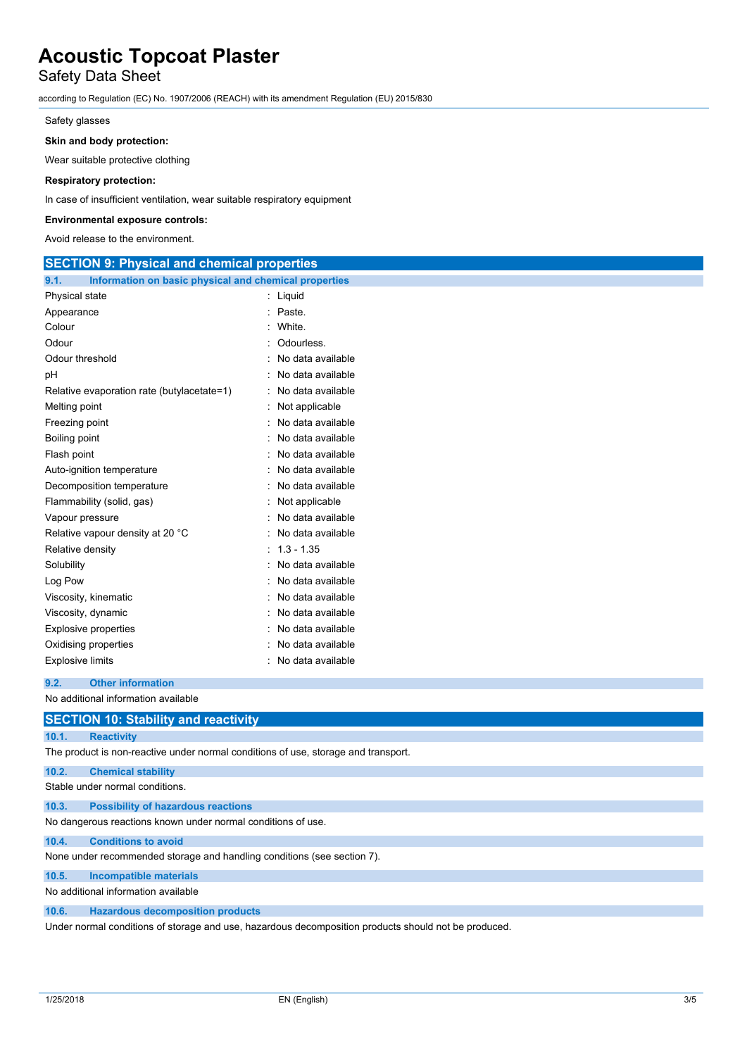## Safety Data Sheet

according to Regulation (EC) No. 1907/2006 (REACH) with its amendment Regulation (EU) 2015/830

#### Safety glasses

#### **Skin and body protection:**

Wear suitable protective clothing

#### **Respiratory protection:**

In case of insufficient ventilation, wear suitable respiratory equipment

#### **Environmental exposure controls:**

Avoid release to the environment.

| <b>SECTION 9: Physical and chemical properties</b>            |                     |
|---------------------------------------------------------------|---------------------|
| 9.1.<br>Information on basic physical and chemical properties |                     |
| Physical state                                                | : Liquid            |
| Appearance                                                    | : Paste.            |
| Colour                                                        | White.              |
| Odour                                                         | : Odourless.        |
| Odour threshold                                               | No data available   |
| рH                                                            | : No data available |
| Relative evaporation rate (butylacetate=1)                    | No data available   |
| Melting point                                                 | Not applicable      |
| Freezing point                                                | No data available   |
| Boiling point                                                 | : No data available |
| Flash point                                                   | No data available   |
| Auto-ignition temperature                                     | : No data available |
| Decomposition temperature                                     | No data available   |
| Flammability (solid, gas)                                     | : Not applicable    |
| Vapour pressure                                               | No data available   |
| Relative vapour density at 20 °C                              | : No data available |
| Relative density                                              | $: 1.3 - 1.35$      |
| Solubility                                                    | : No data available |
| Log Pow                                                       | No data available   |
| Viscosity, kinematic                                          | : No data available |
| Viscosity, dynamic                                            | No data available   |
| <b>Explosive properties</b>                                   | : No data available |
| Oxidising properties                                          | No data available   |
| Explosive limits                                              | : No data available |
| 9.2.<br><b>Other information</b>                              |                     |

#### No additional information available

|                                 | <b>SECTION 10: Stability and reactivity</b>                                        |  |
|---------------------------------|------------------------------------------------------------------------------------|--|
| 10.1.                           | <b>Reactivity</b>                                                                  |  |
|                                 | The product is non-reactive under normal conditions of use, storage and transport. |  |
| 10.2.                           | <b>Chemical stability</b>                                                          |  |
| Stable under normal conditions. |                                                                                    |  |
| 10.3.                           | <b>Possibility of hazardous reactions</b>                                          |  |
|                                 | No dangerous reactions known under normal conditions of use.                       |  |
| 10.4.                           | <b>Conditions to avoid</b>                                                         |  |
|                                 | None under recommended storage and handling conditions (see section 7).            |  |
| 10.5.                           | <b>Incompatible materials</b>                                                      |  |
|                                 | No additional information available                                                |  |

**10.6. Hazardous decomposition products**

Under normal conditions of storage and use, hazardous decomposition products should not be produced.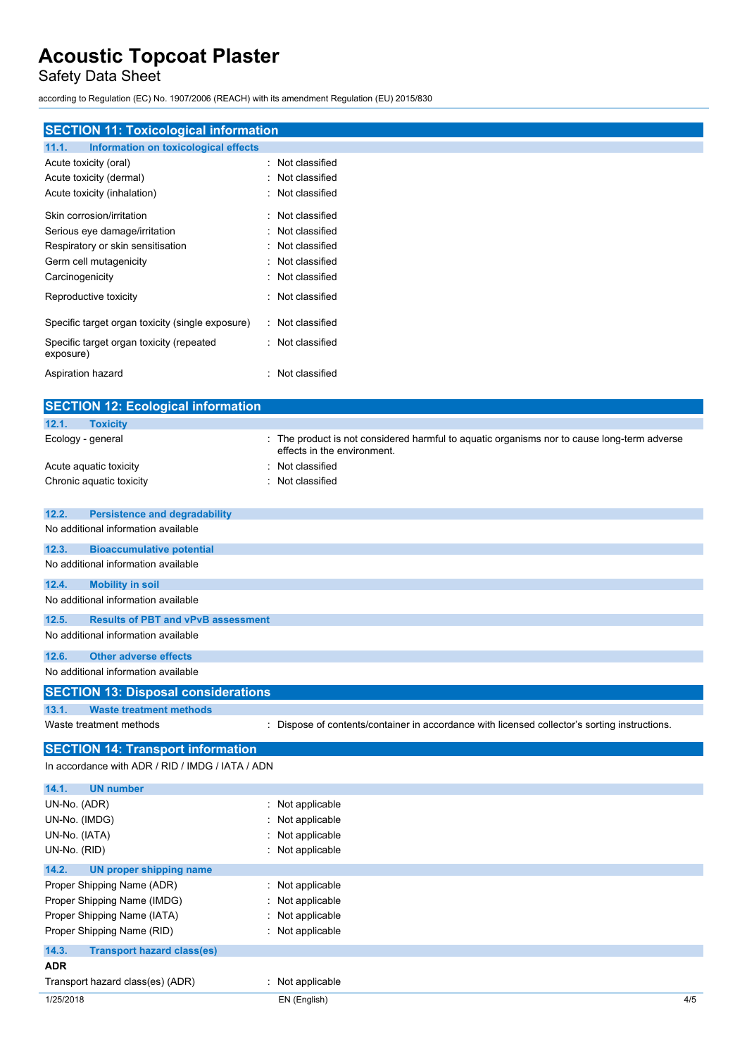Safety Data Sheet

according to Regulation (EC) No. 1907/2006 (REACH) with its amendment Regulation (EU) 2015/830

| <b>SECTION 11: Toxicological information</b>                                              |                                                                                             |
|-------------------------------------------------------------------------------------------|---------------------------------------------------------------------------------------------|
| Information on toxicological effects<br>11.1.                                             |                                                                                             |
| Acute toxicity (oral)                                                                     | : Not classified                                                                            |
| Acute toxicity (dermal)                                                                   | Not classified                                                                              |
| Acute toxicity (inhalation)                                                               | Not classified                                                                              |
| Skin corrosion/irritation                                                                 | Not classified                                                                              |
| Serious eye damage/irritation                                                             | Not classified                                                                              |
| Respiratory or skin sensitisation                                                         | Not classified                                                                              |
| Germ cell mutagenicity                                                                    | Not classified                                                                              |
| Carcinogenicity                                                                           | Not classified                                                                              |
| Reproductive toxicity                                                                     | Not classified                                                                              |
| Specific target organ toxicity (single exposure)                                          | : Not classified                                                                            |
| Specific target organ toxicity (repeated<br>exposure)                                     | : Not classified                                                                            |
| Aspiration hazard                                                                         | : Not classified                                                                            |
| <b>SECTION 12: Ecological information</b>                                                 |                                                                                             |
| 12.1.<br><b>Toxicity</b>                                                                  |                                                                                             |
| Ecology - general                                                                         | The product is not considered harmful to aquatic organisms nor to cause long-term adverse   |
|                                                                                           | effects in the environment.                                                                 |
| Acute aquatic toxicity                                                                    | Not classified                                                                              |
| Chronic aquatic toxicity                                                                  | Not classified                                                                              |
| 12.2.<br><b>Persistence and degradability</b>                                             |                                                                                             |
| No additional information available                                                       |                                                                                             |
| 12.3.<br><b>Bioaccumulative potential</b>                                                 |                                                                                             |
| No additional information available                                                       |                                                                                             |
|                                                                                           |                                                                                             |
| 12.4.<br><b>Mobility in soil</b><br>No additional information available                   |                                                                                             |
|                                                                                           |                                                                                             |
| 12.5.<br><b>Results of PBT and vPvB assessment</b><br>No additional information available |                                                                                             |
| <b>Other adverse effects</b><br>12.6.                                                     |                                                                                             |
| No additional information available                                                       |                                                                                             |
|                                                                                           |                                                                                             |
| <b>SECTION 13: Disposal considerations</b>                                                |                                                                                             |
| 13.1.<br><b>Waste treatment methods</b>                                                   |                                                                                             |
| Waste treatment methods                                                                   | Dispose of contents/container in accordance with licensed collector's sorting instructions. |
| <b>SECTION 14: Transport information</b>                                                  |                                                                                             |
| In accordance with ADR / RID / IMDG / IATA / ADN                                          |                                                                                             |
| 14.1.<br><b>UN number</b>                                                                 |                                                                                             |
| UN-No. (ADR)                                                                              | : Not applicable                                                                            |
| UN-No. (IMDG)                                                                             | Not applicable                                                                              |
| UN-No. (IATA)                                                                             | Not applicable                                                                              |
| UN-No. (RID)                                                                              | Not applicable                                                                              |
| 14.2.<br><b>UN proper shipping name</b>                                                   |                                                                                             |
| Proper Shipping Name (ADR)                                                                | Not applicable                                                                              |
| Proper Shipping Name (IMDG)                                                               | Not applicable                                                                              |
| Proper Shipping Name (IATA)                                                               | Not applicable                                                                              |
| Proper Shipping Name (RID)                                                                | Not applicable                                                                              |
| 14.3.<br><b>Transport hazard class(es)</b>                                                |                                                                                             |
| <b>ADR</b>                                                                                |                                                                                             |

| Transport hazard class(es) (ADR) | Not applicable |     |
|----------------------------------|----------------|-----|
| 1/25/2018                        | EN (English)   | 4/5 |